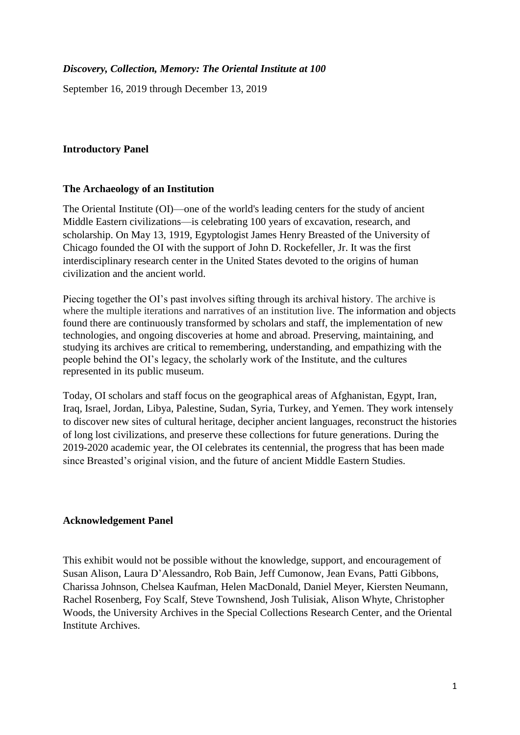# *Discovery, Collection, Memory: The Oriental Institute at 100*

September 16, 2019 through December 13, 2019

#### **Introductory Panel**

#### **The Archaeology of an Institution**

The Oriental Institute (OI)—one of the world's leading centers for the study of ancient Middle Eastern civilizations—is celebrating 100 years of excavation, research, and scholarship. On May 13, 1919, Egyptologist James Henry Breasted of the University of Chicago founded the OI with the support of John D. Rockefeller, Jr. It was the first interdisciplinary research center in the United States devoted to the origins of human civilization and the ancient world.

Piecing together the OI's past involves sifting through its archival history. The archive is where the multiple iterations and narratives of an institution live. The information and objects found there are continuously transformed by scholars and staff, the implementation of new technologies, and ongoing discoveries at home and abroad. Preserving, maintaining, and studying its archives are critical to remembering, understanding, and empathizing with the people behind the OI's legacy, the scholarly work of the Institute, and the cultures represented in its public museum.

Today, OI scholars and staff focus on the geographical areas of Afghanistan, Egypt, Iran, Iraq, Israel, Jordan, Libya, Palestine, Sudan, Syria, Turkey, and Yemen. They work intensely to discover new sites of cultural heritage, decipher ancient languages, reconstruct the histories of long lost civilizations, and preserve these collections for future generations. During the 2019-2020 academic year, the OI celebrates its centennial, the progress that has been made since Breasted's original vision, and the future of ancient Middle Eastern Studies.

# **Acknowledgement Panel**

This exhibit would not be possible without the knowledge, support, and encouragement of Susan Alison, Laura D'Alessandro, Rob Bain, Jeff Cumonow, Jean Evans, Patti Gibbons, Charissa Johnson, Chelsea Kaufman, Helen MacDonald, Daniel Meyer, Kiersten Neumann, Rachel Rosenberg, Foy Scalf, Steve Townshend, Josh Tulisiak, Alison Whyte, Christopher Woods, the University Archives in the Special Collections Research Center, and the Oriental Institute Archives.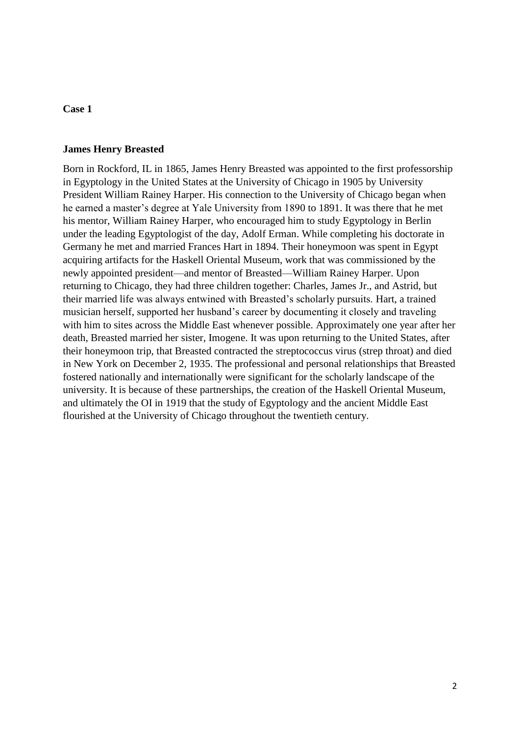#### **James Henry Breasted**

Born in Rockford, IL in 1865, James Henry Breasted was appointed to the first professorship in Egyptology in the United States at the University of Chicago in 1905 by University President William Rainey Harper. His connection to the University of Chicago began when he earned a master's degree at Yale University from 1890 to 1891. It was there that he met his mentor, William Rainey Harper, who encouraged him to study Egyptology in Berlin under the leading Egyptologist of the day, Adolf Erman. While completing his doctorate in Germany he met and married Frances Hart in 1894. Their honeymoon was spent in Egypt acquiring artifacts for the Haskell Oriental Museum, work that was commissioned by the newly appointed president—and mentor of Breasted—William Rainey Harper. Upon returning to Chicago, they had three children together: Charles, James Jr., and Astrid, but their married life was always entwined with Breasted's scholarly pursuits. Hart, a trained musician herself, supported her husband's career by documenting it closely and traveling with him to sites across the Middle East whenever possible. Approximately one year after her death, Breasted married her sister, Imogene. It was upon returning to the United States, after their honeymoon trip, that Breasted contracted the streptococcus virus (strep throat) and died in New York on December 2, 1935. The professional and personal relationships that Breasted fostered nationally and internationally were significant for the scholarly landscape of the university. It is because of these partnerships, the creation of the Haskell Oriental Museum, and ultimately the OI in 1919 that the study of Egyptology and the ancient Middle East flourished at the University of Chicago throughout the twentieth century.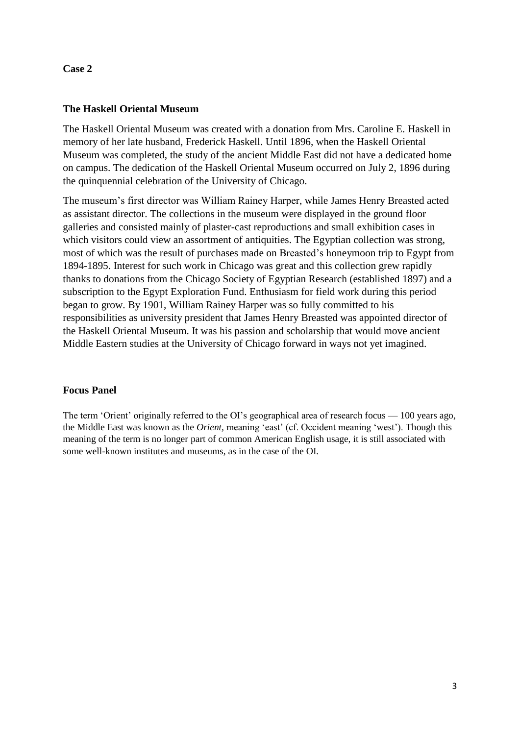# **The Haskell Oriental Museum**

The Haskell Oriental Museum was created with a donation from Mrs. Caroline E. Haskell in memory of her late husband, Frederick Haskell. Until 1896, when the Haskell Oriental Museum was completed, the study of the ancient Middle East did not have a dedicated home on campus. The dedication of the Haskell Oriental Museum occurred on July 2, 1896 during the quinquennial celebration of the University of Chicago.

The museum's first director was William Rainey Harper, while James Henry Breasted acted as assistant director. The collections in the museum were displayed in the ground floor galleries and consisted mainly of plaster-cast reproductions and small exhibition cases in which visitors could view an assortment of antiquities. The Egyptian collection was strong, most of which was the result of purchases made on Breasted's honeymoon trip to Egypt from 1894-1895. Interest for such work in Chicago was great and this collection grew rapidly thanks to donations from the Chicago Society of Egyptian Research (established 1897) and a subscription to the Egypt Exploration Fund. Enthusiasm for field work during this period began to grow. By 1901, William Rainey Harper was so fully committed to his responsibilities as university president that James Henry Breasted was appointed director of the Haskell Oriental Museum. It was his passion and scholarship that would move ancient Middle Eastern studies at the University of Chicago forward in ways not yet imagined.

# **Focus Panel**

The term 'Orient' originally referred to the OI's geographical area of research focus — 100 years ago, the Middle East was known as the *Orient,* meaning 'east' (cf. Occident meaning 'west'). Though this meaning of the term is no longer part of common American English usage, it is still associated with some well-known institutes and museums, as in the case of the OI.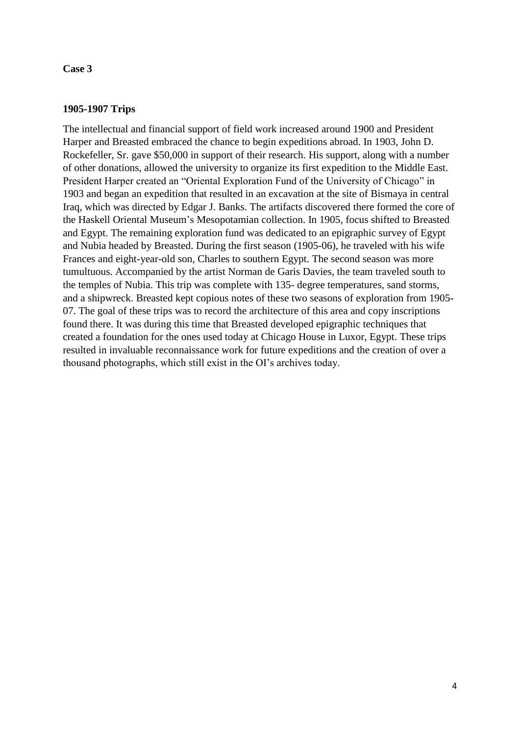# **1905-1907 Trips**

The intellectual and financial support of field work increased around 1900 and President Harper and Breasted embraced the chance to begin expeditions abroad. In 1903, John D. Rockefeller, Sr. gave \$50,000 in support of their research. His support, along with a number of other donations, allowed the university to organize its first expedition to the Middle East. President Harper created an "Oriental Exploration Fund of the University of Chicago" in 1903 and began an expedition that resulted in an excavation at the site of Bismaya in central Iraq, which was directed by Edgar J. Banks. The artifacts discovered there formed the core of the Haskell Oriental Museum's Mesopotamian collection. In 1905, focus shifted to Breasted and Egypt. The remaining exploration fund was dedicated to an epigraphic survey of Egypt and Nubia headed by Breasted. During the first season (1905-06), he traveled with his wife Frances and eight-year-old son, Charles to southern Egypt. The second season was more tumultuous. Accompanied by the artist Norman de Garis Davies, the team traveled south to the temples of Nubia. This trip was complete with 135- degree temperatures, sand storms, and a shipwreck. Breasted kept copious notes of these two seasons of exploration from 1905- 07. The goal of these trips was to record the architecture of this area and copy inscriptions found there. It was during this time that Breasted developed epigraphic techniques that created a foundation for the ones used today at Chicago House in Luxor, Egypt. These trips resulted in invaluable reconnaissance work for future expeditions and the creation of over a thousand photographs, which still exist in the OI's archives today.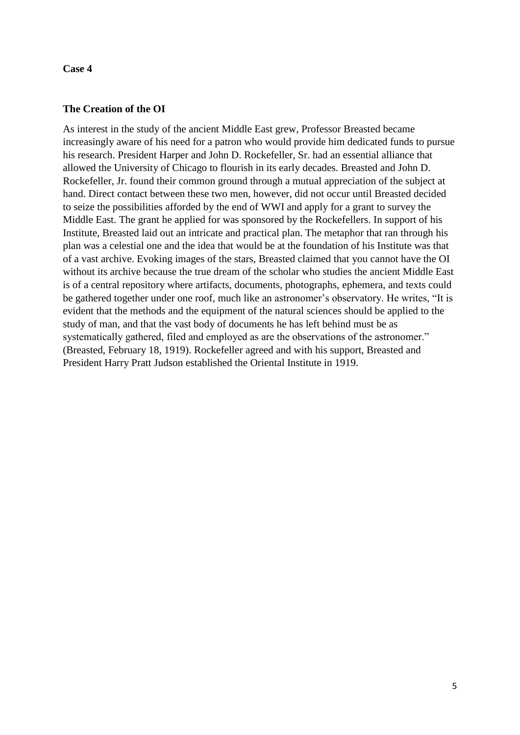### **The Creation of the OI**

As interest in the study of the ancient Middle East grew, Professor Breasted became increasingly aware of his need for a patron who would provide him dedicated funds to pursue his research. President Harper and John D. Rockefeller, Sr. had an essential alliance that allowed the University of Chicago to flourish in its early decades. Breasted and John D. Rockefeller, Jr. found their common ground through a mutual appreciation of the subject at hand. Direct contact between these two men, however, did not occur until Breasted decided to seize the possibilities afforded by the end of WWI and apply for a grant to survey the Middle East. The grant he applied for was sponsored by the Rockefellers. In support of his Institute, Breasted laid out an intricate and practical plan. The metaphor that ran through his plan was a celestial one and the idea that would be at the foundation of his Institute was that of a vast archive. Evoking images of the stars, Breasted claimed that you cannot have the OI without its archive because the true dream of the scholar who studies the ancient Middle East is of a central repository where artifacts, documents, photographs, ephemera, and texts could be gathered together under one roof, much like an astronomer's observatory. He writes, "It is evident that the methods and the equipment of the natural sciences should be applied to the study of man, and that the vast body of documents he has left behind must be as systematically gathered, filed and employed as are the observations of the astronomer." (Breasted, February 18, 1919). Rockefeller agreed and with his support, Breasted and President Harry Pratt Judson established the Oriental Institute in 1919.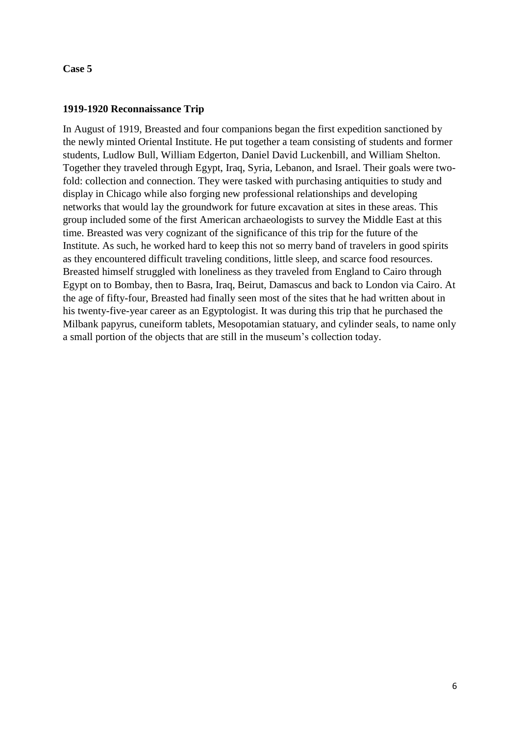## **1919-1920 Reconnaissance Trip**

In August of 1919, Breasted and four companions began the first expedition sanctioned by the newly minted Oriental Institute. He put together a team consisting of students and former students, Ludlow Bull, William Edgerton, Daniel David Luckenbill, and William Shelton. Together they traveled through Egypt, Iraq, Syria, Lebanon, and Israel. Their goals were twofold: collection and connection. They were tasked with purchasing antiquities to study and display in Chicago while also forging new professional relationships and developing networks that would lay the groundwork for future excavation at sites in these areas. This group included some of the first American archaeologists to survey the Middle East at this time. Breasted was very cognizant of the significance of this trip for the future of the Institute. As such, he worked hard to keep this not so merry band of travelers in good spirits as they encountered difficult traveling conditions, little sleep, and scarce food resources. Breasted himself struggled with loneliness as they traveled from England to Cairo through Egypt on to Bombay, then to Basra, Iraq, Beirut, Damascus and back to London via Cairo. At the age of fifty-four, Breasted had finally seen most of the sites that he had written about in his twenty-five-year career as an Egyptologist. It was during this trip that he purchased the Milbank papyrus, cuneiform tablets, Mesopotamian statuary, and cylinder seals, to name only a small portion of the objects that are still in the museum's collection today.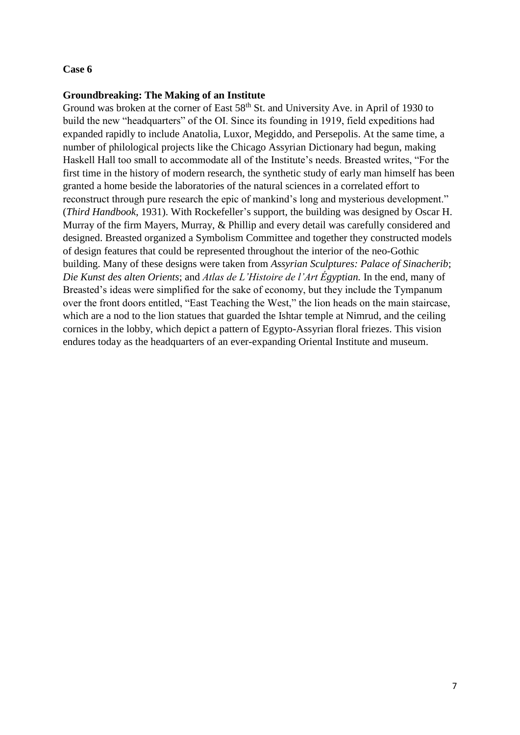#### **Groundbreaking: The Making of an Institute**

Ground was broken at the corner of East 58<sup>th</sup> St. and University Ave. in April of 1930 to build the new "headquarters" of the OI. Since its founding in 1919, field expeditions had expanded rapidly to include Anatolia, Luxor, Megiddo, and Persepolis. At the same time, a number of philological projects like the Chicago Assyrian Dictionary had begun, making Haskell Hall too small to accommodate all of the Institute's needs. Breasted writes, "For the first time in the history of modern research, the synthetic study of early man himself has been granted a home beside the laboratories of the natural sciences in a correlated effort to reconstruct through pure research the epic of mankind's long and mysterious development." (*Third Handbook*, 1931). With Rockefeller's support, the building was designed by Oscar H. Murray of the firm Mayers, Murray, & Phillip and every detail was carefully considered and designed. Breasted organized a Symbolism Committee and together they constructed models of design features that could be represented throughout the interior of the neo-Gothic building. Many of these designs were taken from *Assyrian Sculptures: Palace of Sinacherib*; *Die Kunst des alten Orients*; and *Atlas de L'Histoire de l'Art Égyptian.* In the end, many of Breasted's ideas were simplified for the sake of economy, but they include the Tympanum over the front doors entitled, "East Teaching the West," the lion heads on the main staircase, which are a nod to the lion statues that guarded the Ishtar temple at Nimrud, and the ceiling cornices in the lobby, which depict a pattern of Egypto-Assyrian floral friezes. This vision endures today as the headquarters of an ever-expanding Oriental Institute and museum.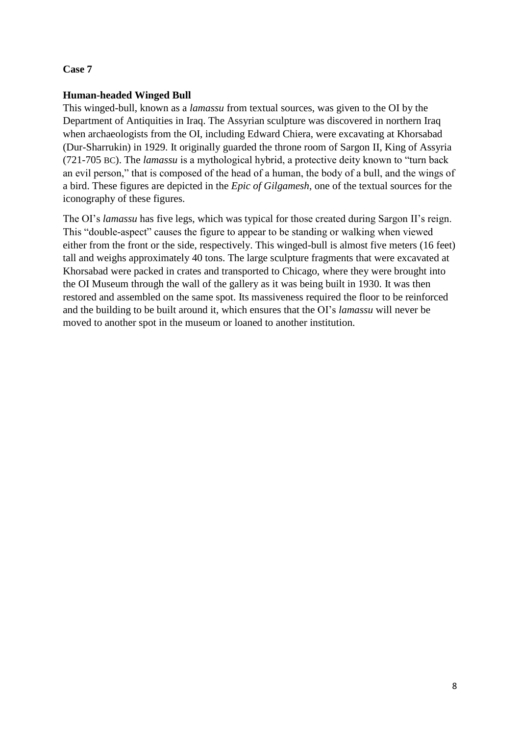## **Human-headed Winged Bull**

This winged-bull, known as a *lamassu* from textual sources, was given to the OI by the Department of Antiquities in Iraq. The Assyrian sculpture was discovered in northern Iraq when archaeologists from the OI, including Edward Chiera, were excavating at Khorsabad (Dur-Sharrukin) in 1929. It originally guarded the throne room of Sargon II, King of Assyria (721-705 BC). The *lamassu* is a mythological hybrid, a protective deity known to "turn back an evil person," that is composed of the head of a human, the body of a bull, and the wings of a bird. These figures are depicted in the *Epic of Gilgamesh,* one of the textual sources for the iconography of these figures.

The OI's *lamassu* has five legs, which was typical for those created during Sargon II's reign. This "double-aspect" causes the figure to appear to be standing or walking when viewed either from the front or the side, respectively. This winged-bull is almost five meters (16 feet) tall and weighs approximately 40 tons. The large sculpture fragments that were excavated at Khorsabad were packed in crates and transported to Chicago, where they were brought into the OI Museum through the wall of the gallery as it was being built in 1930. It was then restored and assembled on the same spot. Its massiveness required the floor to be reinforced and the building to be built around it, which ensures that the OI's *lamassu* will never be moved to another spot in the museum or loaned to another institution.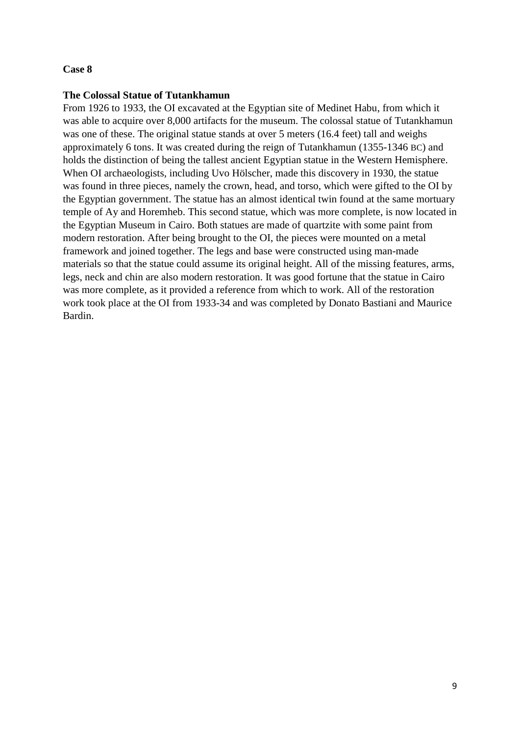#### **The Colossal Statue of Tutankhamun**

From 1926 to 1933, the OI excavated at the Egyptian site of Medinet Habu, from which it was able to acquire over 8,000 artifacts for the museum. The colossal statue of Tutankhamun was one of these. The original statue stands at over 5 meters (16.4 feet) tall and weighs approximately 6 tons. It was created during the reign of Tutankhamun (1355-1346 BC) and holds the distinction of being the tallest ancient Egyptian statue in the Western Hemisphere. When OI archaeologists, including Uvo Hölscher, made this discovery in 1930, the statue was found in three pieces, namely the crown, head, and torso, which were gifted to the OI by the Egyptian government. The statue has an almost identical twin found at the same mortuary temple of Ay and Horemheb. This second statue, which was more complete, is now located in the Egyptian Museum in Cairo. Both statues are made of quartzite with some paint from modern restoration. After being brought to the OI, the pieces were mounted on a metal framework and joined together. The legs and base were constructed using man-made materials so that the statue could assume its original height. All of the missing features, arms, legs, neck and chin are also modern restoration. It was good fortune that the statue in Cairo was more complete, as it provided a reference from which to work. All of the restoration work took place at the OI from 1933-34 and was completed by Donato Bastiani and Maurice Bardin.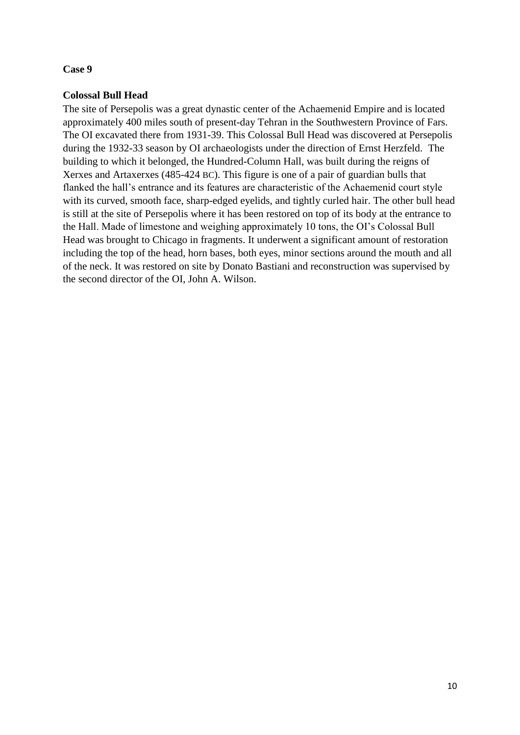## **Colossal Bull Head**

The site of Persepolis was a great dynastic center of the Achaemenid Empire and is located approximately 400 miles south of present-day Tehran in the Southwestern Province of Fars. The OI excavated there from 1931-39. This Colossal Bull Head was discovered at Persepolis during the 1932-33 season by OI archaeologists under the direction of Ernst Herzfeld. The building to which it belonged, the Hundred-Column Hall, was built during the reigns of Xerxes and Artaxerxes (485-424 BC). This figure is one of a pair of guardian bulls that flanked the hall's entrance and its features are characteristic of the Achaemenid court style with its curved, smooth face, sharp-edged eyelids, and tightly curled hair. The other bull head is still at the site of Persepolis where it has been restored on top of its body at the entrance to the Hall. Made of limestone and weighing approximately 10 tons, the OI's Colossal Bull Head was brought to Chicago in fragments. It underwent a significant amount of restoration including the top of the head, horn bases, both eyes, minor sections around the mouth and all of the neck. It was restored on site by Donato Bastiani and reconstruction was supervised by the second director of the OI, John A. Wilson.